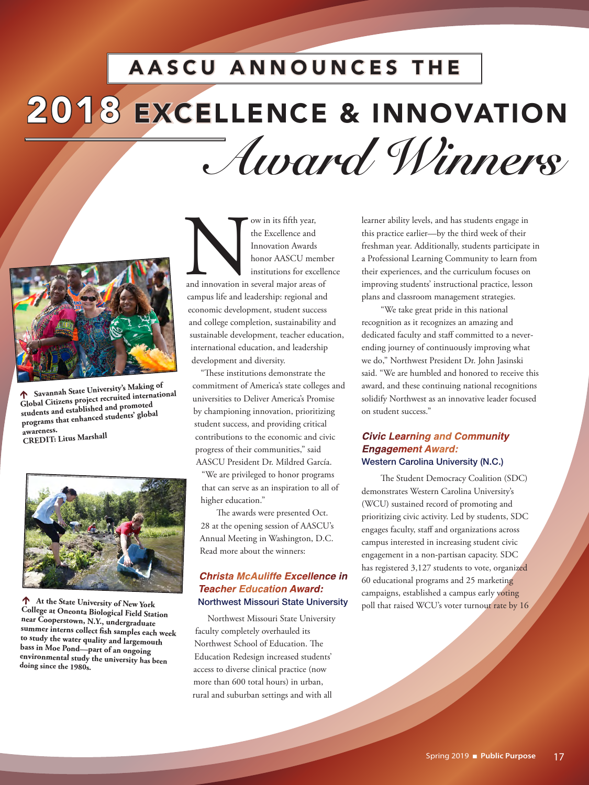# 2018 EXCELLENCE & INNOVATION AASCU ANNOUNCES THE *Award Winners*



 **Savannah State University's Making of Global Citizens project recruited international students and established and promoted programs that enhanced students' global awareness. CREDIT: Litus Marshall** 



 **At the State University of New York College at Oneonta Biological Field Station near Cooperstown, N.Y., undergraduate summer interns collect fish samples each week to study the water quality and largemouth bass in Moe Pond—part of an ongoing environmental study the university has been doing since the 1980s.**

Now in its fifth year,<br>the Excellence and<br>Innovation Awards<br>honor AASCU mer<br>institutions for exce<br>and innovation in several major areas the Excellence and Innovation Awards honor AASCU member institutions for excellence and innovation in several major areas of campus life and leadership: regional and economic development, student success and college completion, sustainability and sustainable development, teacher education, international education, and leadership development and diversity.

"These institutions demonstrate the commitment of America's state colleges and universities to Deliver America's Promise by championing innovation, prioritizing student success, and providing critical contributions to the economic and civic progress of their communities," said AASCU President Dr. Mildred García.

"We are privileged to honor programs that can serve as an inspiration to all of higher education."

 The awards were presented Oct. 28 at the opening session of AASCU's Annual Meeting in Washington, D.C. Read more about the winners:

# *Christa McAuliffe Excellence in Teacher Education Award:*  Northwest Missouri State University

 Northwest Missouri State University faculty completely overhauled its Northwest School of Education. The Education Redesign increased students' access to diverse clinical practice (now more than 600 total hours) in urban, rural and suburban settings and with all

learner ability levels, and has students engage in this practice earlier—by the third week of their freshman year. Additionally, students participate in a Professional Learning Community to learn from their experiences, and the curriculum focuses on improving students' instructional practice, lesson plans and classroom management strategies.

"We take great pride in this national recognition as it recognizes an amazing and dedicated faculty and staff committed to a neverending journey of continuously improving what we do," Northwest President Dr. John Jasinski said. "We are humbled and honored to receive this award, and these continuing national recognitions solidify Northwest as an innovative leader focused on student success."

# *Civic Learning and Community Engagement Award:* Western Carolina University (N.C.)

The Student Democracy Coalition (SDC) demonstrates Western Carolina University's (WCU) sustained record of promoting and prioritizing civic activity. Led by students, SDC engages faculty, staff and organizations across campus interested in increasing student civic engagement in a non-partisan capacity. SDC has registered 3,127 students to vote, organized 60 educational programs and 25 marketing campaigns, established a campus early voting poll that raised WCU's voter turnout rate by 16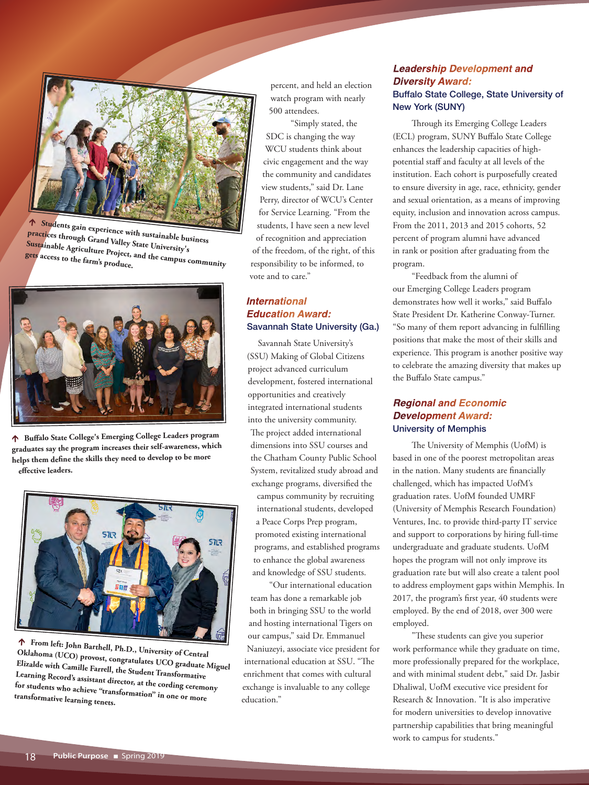

 **Students gain experience with sustainable business practices through Grand Valley State University's Sustainable Agriculture Project, and the campus community gets access to the farm's produce.**



 **Buffalo State College's Emerging College Leaders program graduates say the program increases their self-awareness, which helps them define the skills they need to develop to be more effective leaders.**



 **From left: John Barthell, Ph.D., University of Central Oklahoma (UCO) provost, congratulates UCO graduate Miguel Elizalde with Camille Farrell, the Student Transformative Learning Record's assistant director, at the cording ceremony for students who achieve "transformation" in one or more transformative learning tenets.**

percent, and held an election watch program with nearly 500 attendees.

"Simply stated, the SDC is changing the way WCU students think about civic engagement and the way the community and candidates view students," said Dr. Lane Perry, director of WCU's Center for Service Learning. "From the students, I have seen a new level of recognition and appreciation of the freedom, of the right, of this responsibility to be informed, to vote and to care."

# *International Education Award:* Savannah State University (Ga.)

Savannah State University's (SSU) Making of Global Citizens project advanced curriculum development, fostered international opportunities and creatively integrated international students into the university community. The project added international dimensions into SSU courses and the Chatham County Public School System, revitalized study abroad and exchange programs, diversified the campus community by recruiting international students, developed a Peace Corps Prep program, promoted existing international programs, and established programs to enhance the global awareness and knowledge of SSU students.

 "Our international education team has done a remarkable job both in bringing SSU to the world and hosting international Tigers on our campus," said Dr. Emmanuel Naniuzeyi, associate vice president for international education at SSU. "The enrichment that comes with cultural exchange is invaluable to any college education."

# *Leadership Development and Diversity Award:* Buffalo State College, State University of New York (SUNY)

Through its Emerging College Leaders (ECL) program, SUNY Buffalo State College enhances the leadership capacities of highpotential staff and faculty at all levels of the institution. Each cohort is purposefully created to ensure diversity in age, race, ethnicity, gender and sexual orientation, as a means of improving equity, inclusion and innovation across campus. From the 2011, 2013 and 2015 cohorts, 52 percent of program alumni have advanced in rank or position after graduating from the program.

"Feedback from the alumni of our Emerging College Leaders program demonstrates how well it works," said Buffalo State President Dr. Katherine Conway-Turner. "So many of them report advancing in fulfilling positions that make the most of their skills and experience. This program is another positive way to celebrate the amazing diversity that makes up the Buffalo State campus."

# *Regional and Economic Development Award:* University of Memphis

The University of Memphis (UofM) is based in one of the poorest metropolitan areas in the nation. Many students are financially challenged, which has impacted UofM's graduation rates. UofM founded UMRF (University of Memphis Research Foundation) Ventures, Inc. to provide third-party IT service and support to corporations by hiring full-time undergraduate and graduate students. UofM hopes the program will not only improve its graduation rate but will also create a talent pool to address employment gaps within Memphis. In 2017, the program's first year, 40 students were employed. By the end of 2018, over 300 were employed.

"These students can give you superior work performance while they graduate on time, more professionally prepared for the workplace, and with minimal student debt," said Dr. Jasbir Dhaliwal, UofM executive vice president for Research & Innovation. "It is also imperative for modern universities to develop innovative partnership capabilities that bring meaningful work to campus for students."